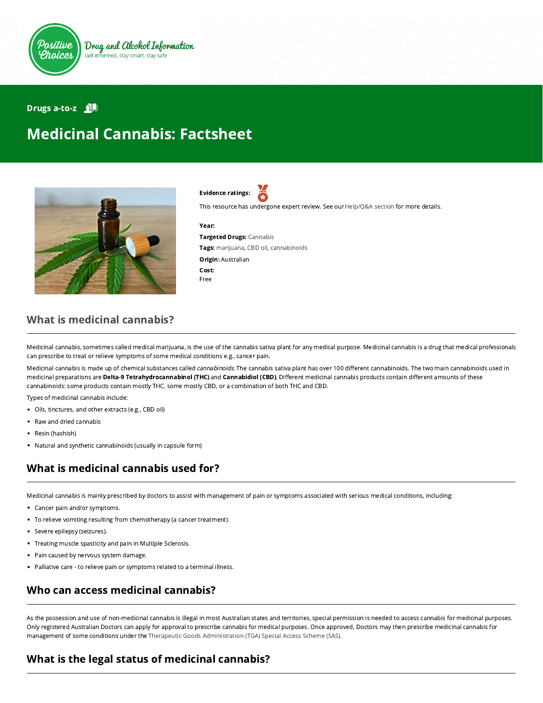

#### Drugs a-to-z **ND**

# Medicinal Cannabis: Factsheet



Evidence ratings:

This resource has undergone expert review. See our [Help/Q&A section](https://positivechoices.org.au/help/questions-and-answers/) for more details.

#### Year:

Targeted Drugs: Cannabis Tags: marijuana, CBD oil, cannabinoids Origin: Australian Cost: Free

### What is medicinal cannabis?

Medicinal cannabis, sometimes called medical marijuana, is the use of the cannabis sativa plant for any medical purpose. Medicinal cannabis is a drug that medical professionals can prescribe to treat or relieve symptoms of some medical conditions e.g., cancer pain.

Medicinal cannabis is made up of chemical substances called cannabinoids. The cannabis sativa plant has over 100 different cannabinoids. The two main cannabinoids used in medicinal preparations are Delta-9 Tetrahydrocannabinol (THC) and Cannabidiol (CBD). Different medicinal cannabis products contain different amounts of these cannabinoids: some products contain mostly THC, some mostly CBD, or a combination of both THC and CBD.

Types of medicinal cannabis include:

- Oils, tinctures, and other extracts (e.g., CBD oil)
- Raw and dried cannabis
- Resin (hashish)
- Natural and synthetic cannabinoids (usually in capsule form)

# What is medicinal cannabis used for?

Medicinal cannabis is mainly prescribed by doctors to assist with management of pain or symptoms associated with serious medical conditions, including:

- Cancer pain and/or symptoms.  $\bullet$
- To relieve vomiting resulting from chemotherapy (a cancer treatment).
- Severe epilepsy (seizures).
- Treating muscle spasticity and pain in Multiple Sclerosis.
- Pain caused by nervous system damage.
- Palliative care to relieve pain or symptoms related to a terminal illness.

### Who can access medicinal cannabis?

As the possession and use of non-medicinal cannabis is illegal in most Australian states and territories, special permission is needed to access cannabis for medicinal purposes. Only registered Australian Doctors can apply for approval to prescribe cannabis for medical purposes. Once approved, Doctors may then prescribe medicinal cannabis for management of some conditions under the [Therapeutic Goods Administration \(TGA\) Special Access Scheme \(SAS\)](https://www.tga.gov.au/medicinal-cannabis-guidance-documents).

### What is the legal status of medicinal cannabis?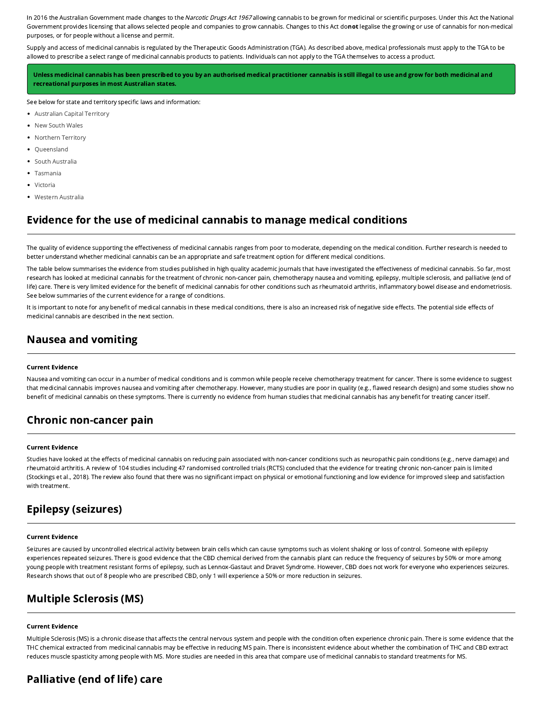In 2016 the Australian Government made changes to the Narcotic Drugs Act 1967 allowing cannabis to be grown for medicinal or scientific purposes. Under this Act the National Government provides licensing that allows selected people and companies to grow cannabis. Changes to this Act donot legalise the growing or use of cannabis for non-medical purposes, or for people without a license and permit.

Supply and access of medicinal cannabis is regulated by the Therapeutic Goods Administration (TGA). As described above, medical professionals must apply to the TGA to be allowed to prescribe a select range of medicinal cannabis products to patients. Individuals can not apply to the TGA themselves to access a product.

Unless medicinal cannabis has been prescribed to you by an authorised medical practitioner cannabis is still illegal to use and grow for both medicinal and recreational purposes in most Australian states.

See below for state and territory specific laws and information:

- [Australian Capital Territory](https://www.health.act.gov.au/sites/default/files/2018-09/Medicinal%20Cannabis%20-%20Patient%20Information_0.pdf)
- [New South Wales](https://www.medicinalcannabis.nsw.gov.au/patients)
- [Northern Territory](https://health.nt.gov.au/professionals/medicines-and-poisons-control2/therapeutic-medicines-containing-cannabinoids-medicinal-cannabis)
- [Queensland](https://www.qld.gov.au/health/conditions/all/medicinal-cannabis)
- [South Australia](https://www.sahealth.sa.gov.au/wps/wcm/connect/public+content/sa+health+internet/conditions/medicines/medicinal+cannabis/medicinal+cannabis+patient+access+in+south+australia)
- [Tasmania](https://www.dhhs.tas.gov.au/psbtas/publications/medical_cannabis/medical_cannabis_controlled_access_scheme)
- [Victoria](https://www2.health.vic.gov.au/public-health/drugs-and-poisons/medicinal-cannabis/patients-carers)
- [Western Australia](https://healthywa.wa.gov.au/Articles/A_E/Cannabis)

### Evidence for the use of medicinal cannabis to manage medical conditions

The quality of evidence supporting the effectiveness of medicinal cannabis ranges from poor to moderate, depending on the medical condition. Further research is needed to better understand whether medicinal cannabis can be an appropriate and safe treatment option for different medical conditions.

The table below summarises the evidence from studies published in high quality academic journals that have investigated the effectiveness of medicinal cannabis. So far, most research has looked at medicinal cannabis for the treatment of chronic non-cancer pain, chemotherapy nausea and vomiting, epilepsy, multiple sclerosis, and palliative (end of life) care. There is very limited evidence for the benefit of medicinal cannabis for other conditions such as rheumatoid arthritis, inflammatory bowel disease and endometriosis. See below summaries of the current evidence for a range of conditions.

It is important to note for any benefit of medical cannabis in these medical conditions, there is also an increased risk of negative side effects. The potential side effects of medicinal cannabis are described in the next section.

### Nausea and vomiting

#### Current Evidence

Nausea and vomiting can occur in a number of medical conditions and is common while people receive chemotherapy treatment for cancer. There is some evidence to suggest that medicinal cannabis improves nausea and vomiting after chemotherapy. However, many studies are poor in quality (e.g., flawed research design) and some studies show no benefit of medicinal cannabis on these symptoms. There is currently no evidence from human studies that medicinal cannabis has any benefit for treating cancer itself.

#### Chronic non-cancer pain

#### Current Evidence

Studies have looked at the effects of medicinal cannabis on reducing pain associated with non-cancer conditions such as neuropathic pain conditions (e.g., nerve damage) and rheumatoid arthritis. A review of 104 studies including 47 randomised controlled trials (RCTS) concluded that the evidence for treating chronic non-cancer pain is limited (Stockings et al., 2018). The review also found that there was no significant impact on physical or emotional functioning and low evidence for improved sleep and satisfaction with treatment.

### Epilepsy (seizures)

#### Current Evidence

Seizures are caused by uncontrolled electrical activity between brain cells which can cause symptoms such as violent shaking or loss of control. Someone with epilepsy experiences repeated seizures. There is good evidence that the CBD chemical derived from the cannabis plant can reduce the frequency of seizures by 50% or more among young people with treatment resistant forms of epilepsy, such as Lennox-Gastaut and Dravet Syndrome. However, CBD does not work for everyone who experiences seizures. Research shows that out of 8 people who are prescribed CBD, only 1 will experience a 50% or more reduction in seizures.

#### Multiple Sclerosis (MS)

#### Current Evidence

Multiple Sclerosis (MS) is a chronic disease that affects the central nervous system and people with the condition often experience chronic pain. There is some evidence that the THC chemical extracted from medicinal cannabis may be effective in reducing MS pain. There is inconsistent evidence about whether the combination of THC and CBD extract reduces muscle spasticity among people with MS. More studies are needed in this area that compare use of medicinal cannabis to standard treatments for MS.

# Palliative (end of life) care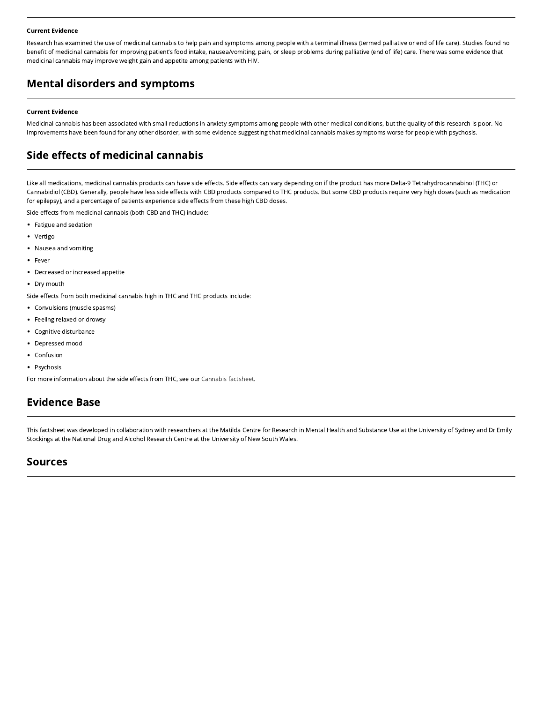#### Current Evidence

Research has examined the use of medicinal cannabis to help pain and symptoms among people with a terminal illness (termed palliative or end of life care). Studies found no benefit of medicinal cannabis for improving patient's food intake, nausea/vomiting, pain, or sleep problems during palliative (end of life) care. There was some evidence that medicinal cannabis may improve weight gain and appetite among patients with HIV.

# Mental disorders and symptoms

#### Current Evidence

Medicinal cannabis has been associated with small reductions in anxiety symptoms among people with other medical conditions, but the quality of this research is poor. No improvements have been found for any other disorder, with some evidence suggesting that medicinal cannabis makes symptoms worse for people with psychosis.

## Side effects of medicinal cannabis

Like all medications, medicinal cannabis products can have side effects. Side effects can vary depending on if the product has more Delta-9 Tetrahydrocannabinol (THC) or Cannabidiol (CBD). Generally, people have less side effects with CBD products compared to THC products. But some CBD products require very high doses (such as medication for epilepsy), and a percentage of patients experience side effects from these high CBD doses.

Side effects from medicinal cannabis (both CBD and THC) include:

- Fatigue and sedation
- Vertigo
- Nausea and vomiting
- Fever
- Decreased or increased appetite
- Dry mouth

Side effects from both medicinal cannabis high in THC and THC products include:

- Convulsions (muscle spasms)
- Feeling relaxed or drowsy
- Cognitive disturbance  $\bullet$
- Depressed mood  $\bullet$
- Confusion
- Psychosis

For more information about the side effects from THC, see our [Cannabis factsheet](https://positivechoices.org.au/teachers/cannabis-factsheet).

### Evidence Base

This factsheet was developed in collaboration with researchers at the Matilda Centre for Research in Mental Health and Substance Use at the University of Sydney and Dr Emily Stockings at the National Drug and Alcohol Research Centre at the University of New South Wales.

#### Sources